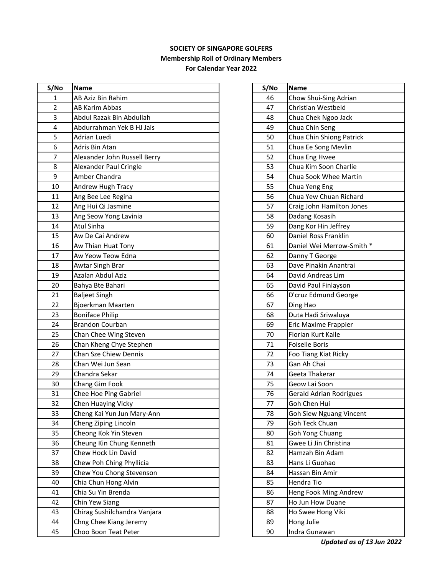| S/No | <b>Name</b>                  | S/No | <b>Name</b>                    |
|------|------------------------------|------|--------------------------------|
| 1    | AB Aziz Bin Rahim            | 46   | Chow Shui-Sing Adrian          |
| 2    | <b>AB Karim Abbas</b>        | 47   | Christian Westbeld             |
| 3    | Abdul Razak Bin Abdullah     | 48   | Chua Chek Ngoo Jack            |
| 4    | Abdurrahman Yek B HJ Jais    | 49   | Chua Chin Seng                 |
| 5    | Adrian Luedi                 | 50   | Chua Chin Shiong Patrick       |
| 6    | Adris Bin Atan               | 51   | Chua Ee Song Mevlin            |
| 7    | Alexander John Russell Berry | 52   | Chua Eng Hwee                  |
| 8    | Alexander Paul Cringle       | 53   | Chua Kim Soon Charlie          |
| 9    | Amber Chandra                | 54   | Chua Sook Whee Martin          |
| 10   | Andrew Hugh Tracy            | 55   | Chua Yeng Eng                  |
| 11   | Ang Bee Lee Regina           | 56   | Chua Yew Chuan Richard         |
| 12   | Ang Hui Qi Jasmine           | 57   | Craig John Hamilton Jones      |
| 13   | Ang Seow Yong Lavinia        | 58   | Dadang Kosasih                 |
| 14   | <b>Atul Sinha</b>            | 59   | Dang Kor Hin Jeffrey           |
| 15   | Aw De Cai Andrew             | 60   | Daniel Ross Franklin           |
| 16   | Aw Thian Huat Tony           | 61   | Daniel Wei Merrow-Smith *      |
| 17   | Aw Yeow Teow Edna            | 62   | Danny T George                 |
| 18   | Awtar Singh Brar             | 63   | Dave Pinakin Anantrai          |
| 19   | Azalan Abdul Aziz            | 64   | David Andreas Lim              |
| 20   | Bahya Bte Bahari             | 65   | David Paul Finlayson           |
| 21   | <b>Baljeet Singh</b>         | 66   | D'cruz Edmund George           |
| 22   | Bjoerkman Maarten            | 67   | Ding Hao                       |
| 23   | <b>Boniface Philip</b>       | 68   | Duta Hadi Sriwaluya            |
| 24   | <b>Brandon Courban</b>       | 69   | Eric Maxime Frappier           |
| 25   | Chan Chee Wing Steven        | 70   | Florian Kurt Kalle             |
| 26   | Chan Kheng Chye Stephen      | 71   | Foiselle Boris                 |
| 27   | Chan Sze Chiew Dennis        | 72   | Foo Tiang Kiat Ricky           |
| 28   | Chan Wei Jun Sean            | 73   | Gan Ah Chai                    |
| 29   | Chandra Sekar                | 74   | Geeta Thakerar                 |
| 30   | Chang Gim Fook               | 75   | Geow Lai Soon                  |
| 31   | Chee Hoe Ping Gabriel        | 76   | <b>Gerald Adrian Rodrigues</b> |
| 32   | Chen Huaying Vicky           | 77   | Goh Chen Hui                   |
| 33   | Cheng Kai Yun Jun Mary-Ann   | 78   | <b>Goh Siew Nguang Vincent</b> |
| 34   | Cheng Ziping Lincoln         | 79   | Goh Teck Chuan                 |
| 35   | Cheong Kok Yin Steven        | 80   | Goh Yong Chuang                |
| 36   | Cheung Kin Chung Kenneth     | 81   | Gwee Li Jin Christina          |
| 37   | Chew Hock Lin David          | 82   | Hamzah Bin Adam                |
| 38   | Chew Poh Ching Phyllicia     | 83   | Hans Li Guohao                 |
| 39   | Chew You Chong Stevenson     | 84   | Hassan Bin Amir                |
| 40   | Chia Chun Hong Alvin         | 85   | Hendra Tio                     |
| 41   | Chia Su Yin Brenda           | 86   | Heng Fook Ming Andrew          |
| 42   | Chin Yew Siang               | 87   | Ho Jun How Duane               |
| 43   | Chirag Sushilchandra Vanjara | 88   | Ho Swee Hong Viki              |
| 44   | Chng Chee Kiang Jeremy       | 89   | Hong Julie                     |
| 45   | Choo Boon Teat Peter         | 90   | Indra Gunawan                  |
|      |                              |      |                                |

| S/No | <b>Name</b>                    |
|------|--------------------------------|
| 46   | Chow Shui-Sing Adrian          |
| 47   | Christian Westbeld             |
| 48   | Chua Chek Ngoo Jack            |
| 49   | Chua Chin Seng                 |
| 50   | Chua Chin Shiong Patrick       |
| 51   | Chua Ee Song Mevlin            |
| 52   | Chua Eng Hwee                  |
| 53   | Chua Kim Soon Charlie          |
| 54   | Chua Sook Whee Martin          |
| 55   | Chua Yeng Eng                  |
| 56   | Chua Yew Chuan Richard         |
| 57   | Craig John Hamilton Jones      |
| 58   | Dadang Kosasih                 |
| 59   | Dang Kor Hin Jeffrey           |
| 60   | Daniel Ross Franklin           |
| 61   | Daniel Wei Merrow-Smith *      |
| 62   | Danny T George                 |
| 63   | Dave Pinakin Anantrai          |
| 64   | David Andreas Lim              |
| 65   | David Paul Finlayson           |
| 66   | D'cruz Edmund George           |
| 67   | Ding Hao                       |
| 68   | Duta Hadi Sriwaluya            |
| 69   | Eric Maxime Frappier           |
| 70   | Florian Kurt Kalle             |
| 71   | <b>Foiselle Boris</b>          |
| 72   | Foo Tiang Kiat Ricky           |
| 73   | Gan Ah Chai                    |
| 74   | Geeta Thakerar                 |
| 75   | Geow Lai Soon                  |
| 76   | <b>Gerald Adrian Rodrigues</b> |
| 77   | Goh Chen Hui                   |
| 78   | <b>Goh Siew Nguang Vincent</b> |
| 79   | Goh Teck Chuan                 |
| 80   | Goh Yong Chuang                |
| 81   | Gwee Li Jin Christina          |
| 82   | Hamzah Bin Adam                |
| 83   | Hans Li Guohao                 |
| 84   | Hassan Bin Amir                |
| 85   | Hendra Tio                     |
| 86   | Heng Fook Ming Andrew          |
| 87   | Ho Jun How Duane               |
| 88   | Ho Swee Hong Viki              |
| 89   | Hong Julie                     |
| 90   | Indra Gunawan                  |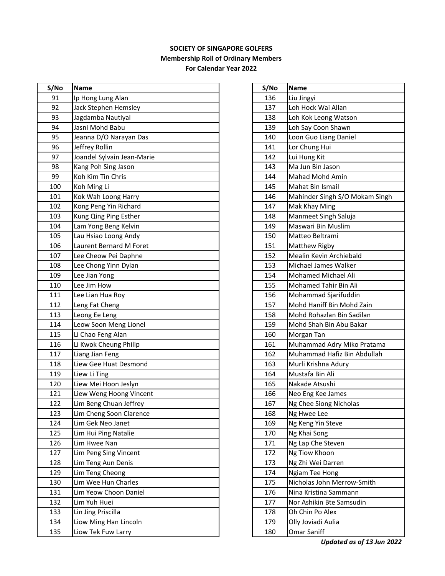| S/No | <b>Name</b>                | S/No | <b>Name</b>                    |
|------|----------------------------|------|--------------------------------|
| 91   | Ip Hong Lung Alan          | 136  | Liu Jingyi                     |
| 92   | Jack Stephen Hemsley       | 137  | Loh Hock Wai Allan             |
| 93   | Jagdamba Nautiyal          | 138  | Loh Kok Leong Watson           |
| 94   | Jasni Mohd Babu            | 139  | Loh Say Coon Shawn             |
| 95   | Jeanna D/O Narayan Das     | 140  | Loon Guo Liang Daniel          |
| 96   | Jeffrey Rollin             | 141  | Lor Chung Hui                  |
| 97   | Joandel Sylvain Jean-Marie | 142  | Lui Hung Kit                   |
| 98   | Kang Poh Sing Jason        | 143  | Ma Jun Bin Jason               |
| 99   | Koh Kim Tin Chris          | 144  | <b>Mahad Mohd Amin</b>         |
| 100  | Koh Ming Li                | 145  | Mahat Bin Ismail               |
| 101  | Kok Wah Loong Harry        | 146  | Mahinder Singh S/O Mokam Singh |
| 102  | Kong Peng Yin Richard      | 147  | <b>Mak Khay Ming</b>           |
| 103  | Kung Qing Ping Esther      | 148  | Manmeet Singh Saluja           |
| 104  | Lam Yong Beng Kelvin       | 149  | Maswari Bin Muslim             |
| 105  | Lau Hsiao Loong Andy       | 150  | Matteo Beltrami                |
| 106  | Laurent Bernard M Foret    | 151  | Matthew Rigby                  |
| 107  | Lee Cheow Pei Daphne       | 152  | Mealin Kevin Archiebald        |
| 108  | Lee Chong Yinn Dylan       | 153  | Michael James Walker           |
| 109  | Lee Jian Yong              | 154  | Mohamed Michael Ali            |
| 110  | Lee Jim How                | 155  | Mohamed Tahir Bin Ali          |
| 111  | Lee Lian Hua Roy           | 156  | Mohammad Sjarifuddin           |
| 112  | Leng Fat Cheng             | 157  | Mohd Haniff Bin Mohd Zain      |
| 113  | Leong Ee Leng              | 158  | Mohd Rohazlan Bin Sadilan      |
| 114  | Leow Soon Meng Lionel      | 159  | Mohd Shah Bin Abu Bakar        |
| 115  | Li Chao Feng Alan          | 160  | Morgan Tan                     |
| 116  | Li Kwok Cheung Philip      | 161  | Muhammad Adry Miko Pratama     |
| 117  | Liang Jian Feng            | 162  | Muhammad Hafiz Bin Abdullah    |
| 118  | Liew Gee Huat Desmond      | 163  | Murli Krishna Adury            |
| 119  | Liew Li Ting               | 164  | Mustafa Bin Ali                |
| 120  | Liew Mei Hoon Jeslyn       | 165  | Nakade Atsushi                 |
| 121  | Liew Weng Hoong Vincent    | 166  | Neo Eng Kee James              |
| 122  | Lim Beng Chuan Jeffrey     | 167  | Ng Chee Siong Nicholas         |
| 123  | Lim Cheng Soon Clarence    | 168  | Ng Hwee Lee                    |
| 124  | Lim Gek Neo Janet          | 169  | Ng Keng Yin Steve              |
| 125  | Lim Hui Ping Natalie       | 170  | Ng Khai Song                   |
| 126  | Lim Hwee Nan               | 171  | Ng Lap Che Steven              |
| 127  | Lim Peng Sing Vincent      | 172  | Ng Tiow Khoon                  |
| 128  | Lim Teng Aun Denis         | 173  | Ng Zhi Wei Darren              |
| 129  | Lim Teng Cheong            | 174  | <b>Ngiam Tee Hong</b>          |
| 130  | Lim Wee Hun Charles        | 175  | Nicholas John Merrow-Smith     |
| 131  | Lim Yeow Choon Daniel      | 176  | Nina Kristina Sammann          |
| 132  | Lim Yuh Huei               | 177  | Nor Ashikin Bte Samsudin       |
| 133  | Lin Jing Priscilla         | 178  | Oh Chin Po Alex                |
| 134  | Liow Ming Han Lincoln      | 179  | Olly Joviadi Aulia             |
| 135  | Liow Tek Fuw Larry         | 180  | Omar Saniff                    |
|      |                            |      |                                |

| S/No | <b>Name</b>                    |
|------|--------------------------------|
| 136  | Liu Jingyi                     |
| 137  | Loh Hock Wai Allan             |
| 138  | Loh Kok Leong Watson           |
| 139  | Loh Say Coon Shawn             |
| 140  | Loon Guo Liang Daniel          |
| 141  | Lor Chung Hui                  |
| 142  | Lui Hung Kit                   |
| 143  | Ma Jun Bin Jason               |
| 144  | Mahad Mohd Amin                |
| 145  | Mahat Bin Ismail               |
| 146  | Mahinder Singh S/O Mokam Singh |
| 147  | Mak Khay Ming                  |
| 148  | Manmeet Singh Saluja           |
| 149  | Maswari Bin Muslim             |
| 150  | Matteo Beltrami                |
| 151  | Matthew Rigby                  |
| 152  | Mealin Kevin Archiebald        |
| 153  | Michael James Walker           |
| 154  | <b>Mohamed Michael Ali</b>     |
| 155  | Mohamed Tahir Bin Ali          |
| 156  | Mohammad Sjarifuddin           |
| 157  | Mohd Haniff Bin Mohd Zain      |
| 158  | Mohd Rohazlan Bin Sadilan      |
| 159  | Mohd Shah Bin Abu Bakar        |
| 160  | Morgan Tan                     |
| 161  | Muhammad Adry Miko Pratama     |
| 162  | Muhammad Hafiz Bin Abdullah    |
| 163  | Murli Krishna Adury            |
| 164  | Mustafa Bin Ali                |
| 165  | Nakade Atsushi                 |
| 166  | Neo Eng Kee James              |
| 167  | Ng Chee Siong Nicholas         |
| 168  | Ng Hwee Lee                    |
| 169  | Ng Keng Yin Steve              |
| 170  | Ng Khai Song                   |
| 171  | Ng Lap Che Steven              |
| 172  | Ng Tiow Khoon                  |
| 173  | Ng Zhi Wei Darren              |
| 174  | Ngiam Tee Hong                 |
| 175  | Nicholas John Merrow-Smith     |
| 176  | Nina Kristina Sammann          |
| 177  | Nor Ashikin Bte Samsudin       |
| 178  | Oh Chin Po Alex                |
| 179  | Olly Joviadi Aulia             |
| 180  | Omar Saniff                    |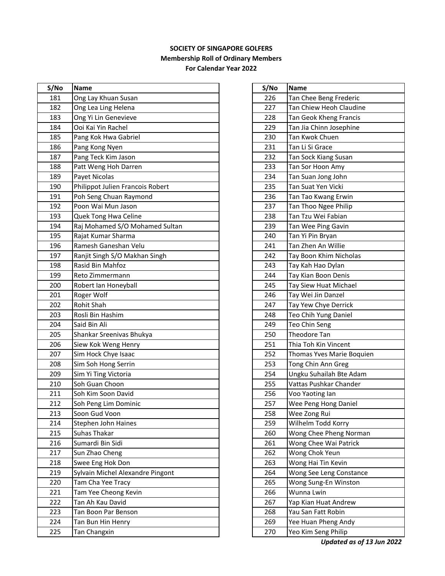| S/No | <b>Name</b>                      | S/No | Name                      |
|------|----------------------------------|------|---------------------------|
| 181  | Ong Lay Khuan Susan              | 226  | Tan Chee Beng Frederic    |
| 182  | Ong Lea Ling Helena              | 227  | Tan Chiew Heoh Claudine   |
| 183  | Ong Yi Lin Genevieve             | 228  | Tan Geok Kheng Francis    |
| 184  | Ooi Kai Yin Rachel               | 229  | Tan Jia Chinn Josephine   |
| 185  | Pang Kok Hwa Gabriel             | 230  | Tan Kwok Chuen            |
| 186  | Pang Kong Nyen                   | 231  | Tan Li Si Grace           |
| 187  | Pang Teck Kim Jason              | 232  | Tan Sock Kiang Susan      |
| 188  | Patt Weng Hoh Darren             | 233  | Tan Sor Hoon Amy          |
| 189  | Payet Nicolas                    | 234  | Tan Suan Jong John        |
| 190  | Philippot Julien Francois Robert | 235  | Tan Suat Yen Vicki        |
| 191  | Poh Seng Chuan Raymond           | 236  | Tan Tao Kwang Erwin       |
| 192  | Poon Wai Mun Jason               | 237  | Tan Thoo Ngee Philip      |
| 193  | Quek Tong Hwa Celine             | 238  | Tan Tzu Wei Fabian        |
| 194  | Raj Mohamed S/O Mohamed Sultan   | 239  | Tan Wee Ping Gavin        |
| 195  | Rajat Kumar Sharma               | 240  | Tan Yi Pin Bryan          |
| 196  | Ramesh Ganeshan Velu             | 241  | Tan Zhen An Willie        |
| 197  | Ranjit Singh S/O Makhan Singh    | 242  | Tay Boon Khim Nicholas    |
| 198  | Rasid Bin Mahfoz                 | 243  | Tay Kah Hao Dylan         |
| 199  | Reto Zimmermann                  | 244  | Tay Kian Boon Denis       |
| 200  | Robert Ian Honeyball             | 245  | Tay Siew Huat Michael     |
| 201  | Roger Wolf                       | 246  | Tay Wei Jin Danzel        |
| 202  | Rohit Shah                       | 247  | Tay Yew Chye Derrick      |
| 203  | Rosli Bin Hashim                 | 248  | Teo Chih Yung Daniel      |
| 204  | Said Bin Ali                     | 249  | Teo Chin Seng             |
| 205  | Shankar Sreenivas Bhukya         | 250  | Theodore Tan              |
| 206  | Siew Kok Weng Henry              | 251  | Thia Toh Kin Vincent      |
| 207  | Sim Hock Chye Isaac              | 252  | Thomas Yves Marie Boquien |
| 208  | Sim Soh Hong Serrin              | 253  | Tong Chin Ann Greg        |
| 209  | Sim Yi Ting Victoria             | 254  | Ungku Suhailah Bte Adam   |
| 210  | Soh Guan Choon                   | 255  | Vattas Pushkar Chander    |
| 211  | Soh Kim Soon David               | 256  | Voo Yaoting lan           |
| 212  | Soh Peng Lim Dominic             | 257  | Wee Peng Hong Daniel      |
| 213  | Soon Gud Voon                    | 258  | Wee Zong Rui              |
| 214  | Stephen John Haines              | 259  | Wilhelm Todd Korry        |
| 215  | Suhas Thakar                     | 260  | Wong Chee Pheng Norman    |
| 216  | Sumardi Bin Sidi                 | 261  | Wong Chee Wai Patrick     |
| 217  | Sun Zhao Cheng                   | 262  | Wong Chok Yeun            |
| 218  | Swee Eng Hok Don                 | 263  | Wong Hai Tin Kevin        |
| 219  | Sylvain Michel Alexandre Pingont | 264  | Wong See Leng Constance   |
| 220  | Tam Cha Yee Tracy                | 265  | Wong Sung-En Winston      |
| 221  | Tam Yee Cheong Kevin             | 266  | Wunna Lwin                |
| 222  | Tan Ah Kau David                 | 267  | Yap Kian Huat Andrew      |
| 223  | Tan Boon Par Benson              | 268  | Yau San Fatt Robin        |
| 224  | Tan Bun Hin Henry                | 269  | Yee Huan Pheng Andy       |
| 225  | Tan Changxin                     | 270  | Yeo Kim Seng Philip       |

| S/No | <b>Name</b>               |
|------|---------------------------|
| 226  | Tan Chee Beng Frederic    |
| 227  | Tan Chiew Heoh Claudine   |
| 228  | Tan Geok Kheng Francis    |
| 229  | Tan Jia Chinn Josephine   |
| 230  | Tan Kwok Chuen            |
| 231  | Tan Li Si Grace           |
| 232  | Tan Sock Kiang Susan      |
| 233  | Tan Sor Hoon Amy          |
| 234  | Tan Suan Jong John        |
| 235  | Tan Suat Yen Vicki        |
| 236  | Tan Tao Kwang Erwin       |
| 237  | Tan Thoo Ngee Philip      |
| 238  | Tan Tzu Wei Fabian        |
| 239  | Tan Wee Ping Gavin        |
| 240  | Tan Yi Pin Bryan          |
| 241  | Tan Zhen An Willie        |
| 242  | Tay Boon Khim Nicholas    |
| 243  | Tay Kah Hao Dylan         |
| 244  | Tay Kian Boon Denis       |
| 245  | Tay Siew Huat Michael     |
| 246  | Tay Wei Jin Danzel        |
| 247  | Tay Yew Chye Derrick      |
| 248  | Teo Chih Yung Daniel      |
| 249  | Teo Chin Seng             |
| 250  | Theodore Tan              |
| 251  | Thia Toh Kin Vincent      |
| 252  | Thomas Yves Marie Boquien |
| 253  | Tong Chin Ann Greg        |
| 254  | Ungku Suhailah Bte Adam   |
| 255  | Vattas Pushkar Chander    |
| 256  | Voo Yaoting lan           |
| 257  | Wee Peng Hong Daniel      |
| 258  | Wee Zong Rui              |
| 259  | Wilhelm Todd Korry        |
| 260  | Wong Chee Pheng Norman    |
| 261  | Wong Chee Wai Patrick     |
| 262  | Wong Chok Yeun            |
| 263  | Wong Hai Tin Kevin        |
| 264  | Wong See Leng Constance   |
| 265  | Wong Sung-En Winston      |
| 266  | Wunna Lwin                |
| 267  | Yap Kian Huat Andrew      |
| 268  | Yau San Fatt Robin        |
| 269  | Yee Huan Pheng Andy       |
| 270  | Yeo Kim Seng Philip       |